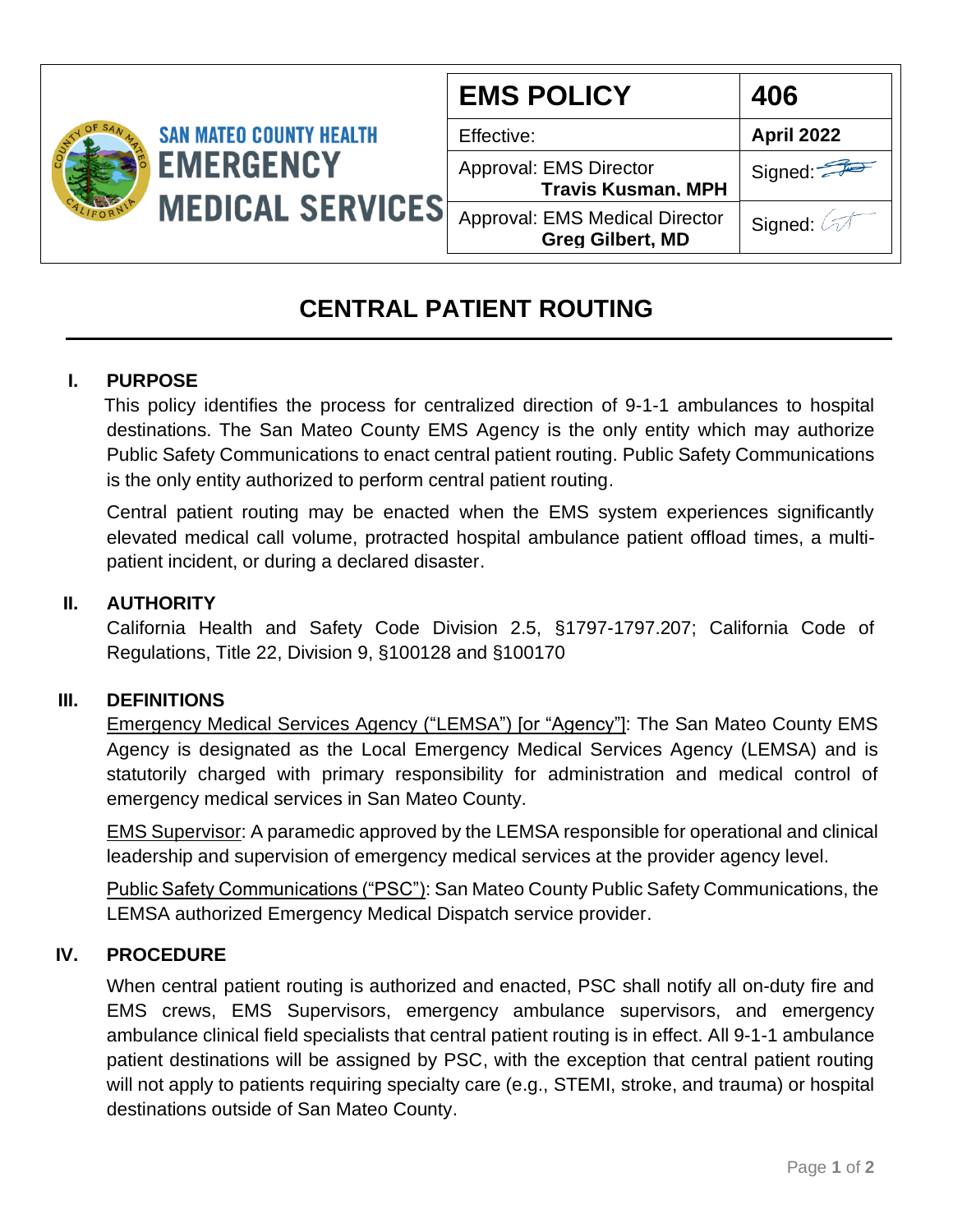| <b>SAN MATEO COUNTY HEALTH</b><br><b>EMERGENCY</b> | <b>EMS POLICY</b>                                          | 406                     |
|----------------------------------------------------|------------------------------------------------------------|-------------------------|
|                                                    | Effective:                                                 | <b>April 2022</b>       |
|                                                    | <b>Approval: EMS Director</b><br><b>Travis Kusman, MPH</b> | Signed:                 |
|                                                    | Approval: EMS Medical Director<br><b>Greg Gilbert, MD</b>  | Signed                  |
|                                                    |                                                            | <b>MEDICAL SERVICES</b> |

# **CENTRAL PATIENT ROUTING**

# **I. PURPOSE**

 This policy identifies the process for centralized direction of 9-1-1 ambulances to hospital destinations. The San Mateo County EMS Agency is the only entity which may authorize Public Safety Communications to enact central patient routing. Public Safety Communications is the only entity authorized to perform central patient routing.

Central patient routing may be enacted when the EMS system experiences significantly elevated medical call volume, protracted hospital ambulance patient offload times, a multipatient incident, or during a declared disaster.

## **II. AUTHORITY**

California Health and Safety Code Division 2.5, §1797-1797.207; California Code of Regulations, Title 22, Division 9, §100128 and §100170

### **III. DEFINITIONS**

Emergency Medical Services Agency ("LEMSA") [or "Agency"]: The San Mateo County EMS Agency is designated as the Local Emergency Medical Services Agency (LEMSA) and is statutorily charged with primary responsibility for administration and medical control of emergency medical services in San Mateo County.

EMS Supervisor: A paramedic approved by the LEMSA responsible for operational and clinical leadership and supervision of emergency medical services at the provider agency level.

Public Safety Communications ("PSC"): San Mateo County Public Safety Communications, the LEMSA authorized Emergency Medical Dispatch service provider.

### **IV. PROCEDURE**

When central patient routing is authorized and enacted, PSC shall notify all on-duty fire and EMS crews, EMS Supervisors, emergency ambulance supervisors, and emergency ambulance clinical field specialists that central patient routing is in effect. All 9-1-1 ambulance patient destinations will be assigned by PSC, with the exception that central patient routing will not apply to patients requiring specialty care (e.g., STEMI, stroke, and trauma) or hospital destinations outside of San Mateo County.